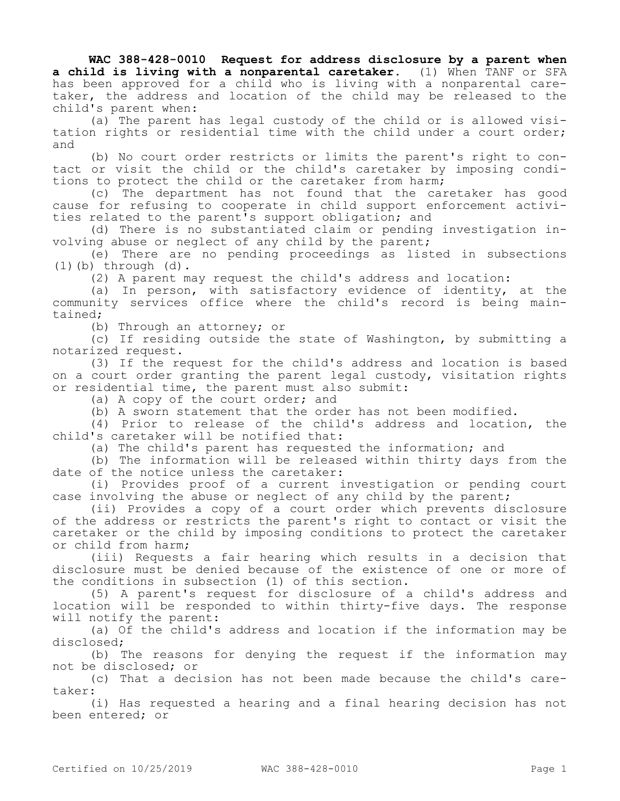**WAC 388-428-0010 Request for address disclosure by a parent when a child is living with a nonparental caretaker.** (1) When TANF or SFA has been approved for a child who is living with a nonparental caretaker, the address and location of the child may be released to the child's parent when:

(a) The parent has legal custody of the child or is allowed visitation rights or residential time with the child under a court order; and

(b) No court order restricts or limits the parent's right to contact or visit the child or the child's caretaker by imposing conditions to protect the child or the caretaker from harm;

(c) The department has not found that the caretaker has good cause for refusing to cooperate in child support enforcement activities related to the parent's support obligation; and

(d) There is no substantiated claim or pending investigation involving abuse or neglect of any child by the parent;

(e) There are no pending proceedings as listed in subsections  $(1)$  (b) through  $(d)$ .

(2) A parent may request the child's address and location:

(a) In person, with satisfactory evidence of identity, at the community services office where the child's record is being maintained;

(b) Through an attorney; or

(c) If residing outside the state of Washington, by submitting a notarized request.

(3) If the request for the child's address and location is based on a court order granting the parent legal custody, visitation rights or residential time, the parent must also submit:

(a) A copy of the court order; and

(b) A sworn statement that the order has not been modified.

(4) Prior to release of the child's address and location, the child's caretaker will be notified that:

(a) The child's parent has requested the information; and

(b) The information will be released within thirty days from the date of the notice unless the caretaker:

(i) Provides proof of a current investigation or pending court case involving the abuse or neglect of any child by the parent;

(ii) Provides a copy of a court order which prevents disclosure of the address or restricts the parent's right to contact or visit the caretaker or the child by imposing conditions to protect the caretaker or child from harm;

(iii) Requests a fair hearing which results in a decision that disclosure must be denied because of the existence of one or more of the conditions in subsection (1) of this section.

(5) A parent's request for disclosure of a child's address and location will be responded to within thirty-five days. The response will notify the parent:

(a) Of the child's address and location if the information may be disclosed;

(b) The reasons for denying the request if the information may not be disclosed; or

(c) That a decision has not been made because the child's caretaker:

(i) Has requested a hearing and a final hearing decision has not been entered; or